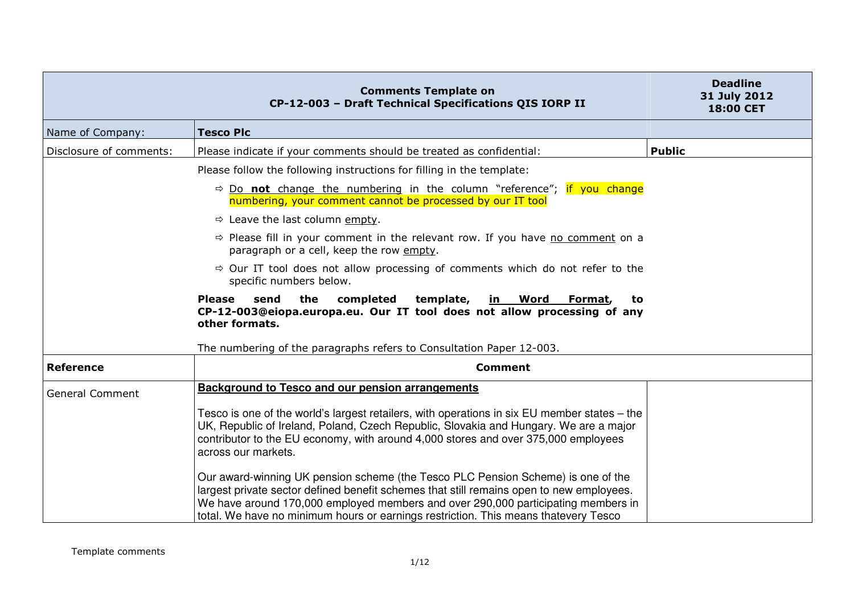|                         | <b>Comments Template on</b><br>CP-12-003 - Draft Technical Specifications QIS IORP II                                                                                                                                                                                                                                                                    | <b>Deadline</b><br>31 July 2012<br>18:00 CET |
|-------------------------|----------------------------------------------------------------------------------------------------------------------------------------------------------------------------------------------------------------------------------------------------------------------------------------------------------------------------------------------------------|----------------------------------------------|
| Name of Company:        | <b>Tesco Plc</b>                                                                                                                                                                                                                                                                                                                                         |                                              |
| Disclosure of comments: | Please indicate if your comments should be treated as confidential:                                                                                                                                                                                                                                                                                      | <b>Public</b>                                |
|                         | Please follow the following instructions for filling in the template:                                                                                                                                                                                                                                                                                    |                                              |
|                         | $\Rightarrow$ Do <b>not</b> change the numbering in the column "reference"; if you change<br>numbering, your comment cannot be processed by our IT tool                                                                                                                                                                                                  |                                              |
|                         | $\Rightarrow$ Leave the last column empty.                                                                                                                                                                                                                                                                                                               |                                              |
|                         | $\Rightarrow$ Please fill in your comment in the relevant row. If you have no comment on a<br>paragraph or a cell, keep the row empty.                                                                                                                                                                                                                   |                                              |
|                         | $\Rightarrow$ Our IT tool does not allow processing of comments which do not refer to the<br>specific numbers below.                                                                                                                                                                                                                                     |                                              |
|                         | send<br>the<br>completed<br>template,<br><b>Please</b><br><u>in Word</u><br>Format,<br>to.<br>CP-12-003@eiopa.europa.eu. Our IT tool does not allow processing of any<br>other formats.                                                                                                                                                                  |                                              |
|                         | The numbering of the paragraphs refers to Consultation Paper 12-003.                                                                                                                                                                                                                                                                                     |                                              |
| <b>Reference</b>        | <b>Comment</b>                                                                                                                                                                                                                                                                                                                                           |                                              |
| <b>General Comment</b>  | <b>Background to Tesco and our pension arrangements</b>                                                                                                                                                                                                                                                                                                  |                                              |
|                         | Tesco is one of the world's largest retailers, with operations in six EU member states – the<br>UK, Republic of Ireland, Poland, Czech Republic, Slovakia and Hungary. We are a major<br>contributor to the EU economy, with around 4,000 stores and over 375,000 employees<br>across our markets.                                                       |                                              |
|                         | Our award-winning UK pension scheme (the Tesco PLC Pension Scheme) is one of the<br>largest private sector defined benefit schemes that still remains open to new employees.<br>We have around 170,000 employed members and over 290,000 participating members in<br>total. We have no minimum hours or earnings restriction. This means thatevery Tesco |                                              |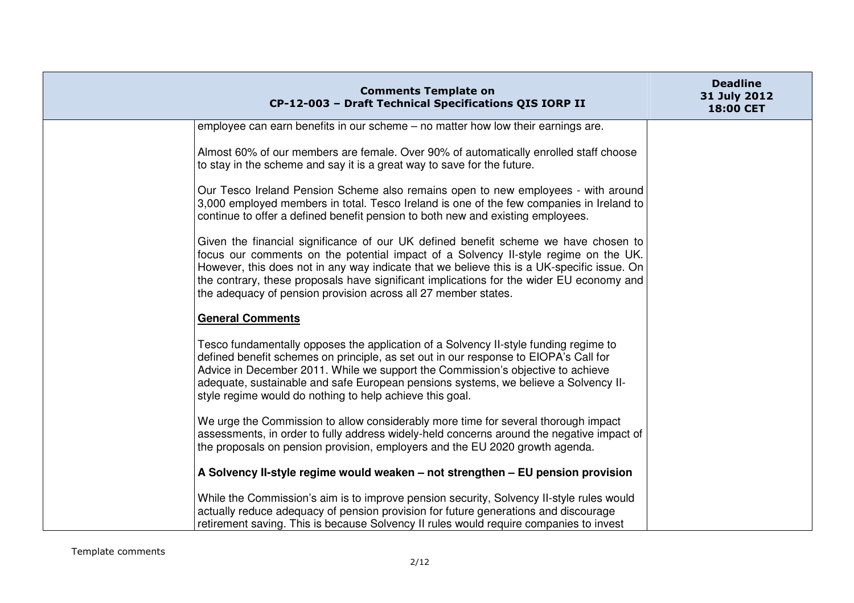| <b>Comments Template on</b><br>CP-12-003 - Draft Technical Specifications QIS IORP II                                                                                                                                                                                                                                                                                                                                                  | <b>Deadline</b><br>31 July 2012<br>18:00 CET |
|----------------------------------------------------------------------------------------------------------------------------------------------------------------------------------------------------------------------------------------------------------------------------------------------------------------------------------------------------------------------------------------------------------------------------------------|----------------------------------------------|
| employee can earn benefits in our scheme – no matter how low their earnings are.                                                                                                                                                                                                                                                                                                                                                       |                                              |
| Almost 60% of our members are female. Over 90% of automatically enrolled staff choose<br>to stay in the scheme and say it is a great way to save for the future.                                                                                                                                                                                                                                                                       |                                              |
| Our Tesco Ireland Pension Scheme also remains open to new employees - with around<br>3,000 employed members in total. Tesco Ireland is one of the few companies in Ireland to<br>continue to offer a defined benefit pension to both new and existing employees.                                                                                                                                                                       |                                              |
| Given the financial significance of our UK defined benefit scheme we have chosen to<br>focus our comments on the potential impact of a Solvency II-style regime on the UK.<br>However, this does not in any way indicate that we believe this is a UK-specific issue. On<br>the contrary, these proposals have significant implications for the wider EU economy and<br>the adequacy of pension provision across all 27 member states. |                                              |
| <b>General Comments</b>                                                                                                                                                                                                                                                                                                                                                                                                                |                                              |
| Tesco fundamentally opposes the application of a Solvency II-style funding regime to<br>defined benefit schemes on principle, as set out in our response to EIOPA's Call for<br>Advice in December 2011. While we support the Commission's objective to achieve<br>adequate, sustainable and safe European pensions systems, we believe a Solvency II-<br>style regime would do nothing to help achieve this goal.                     |                                              |
| We urge the Commission to allow considerably more time for several thorough impact<br>assessments, in order to fully address widely-held concerns around the negative impact of<br>the proposals on pension provision, employers and the EU 2020 growth agenda.                                                                                                                                                                        |                                              |
| A Solvency II-style regime would weaken - not strengthen - EU pension provision                                                                                                                                                                                                                                                                                                                                                        |                                              |
| While the Commission's aim is to improve pension security, Solvency II-style rules would<br>actually reduce adequacy of pension provision for future generations and discourage<br>retirement saving. This is because Solvency II rules would require companies to invest                                                                                                                                                              |                                              |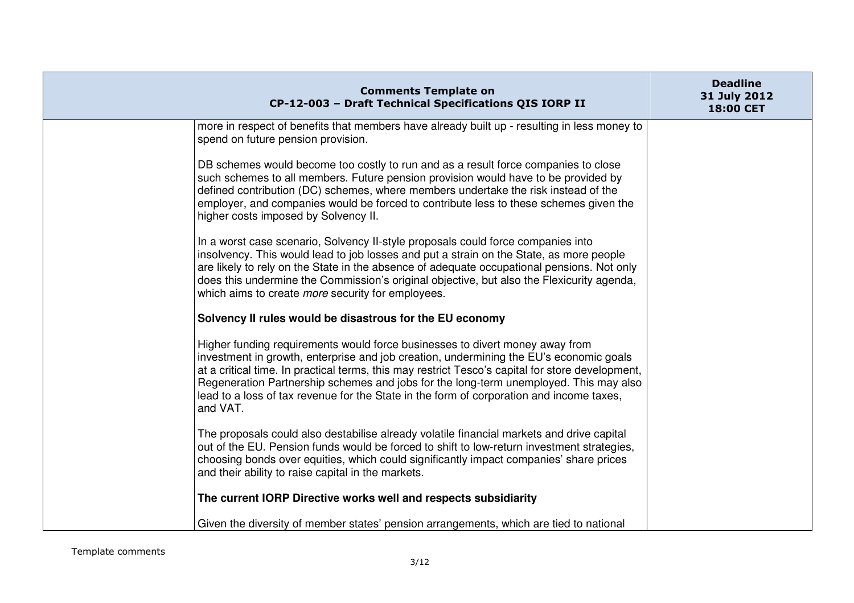| <b>Comments Template on</b><br>CP-12-003 - Draft Technical Specifications QIS IORP II                                                                                                                                                                                                                                                                                                                                                                                       | <b>Deadline</b><br>31 July 2012<br>18:00 CET |
|-----------------------------------------------------------------------------------------------------------------------------------------------------------------------------------------------------------------------------------------------------------------------------------------------------------------------------------------------------------------------------------------------------------------------------------------------------------------------------|----------------------------------------------|
| more in respect of benefits that members have already built up - resulting in less money to<br>spend on future pension provision.                                                                                                                                                                                                                                                                                                                                           |                                              |
| DB schemes would become too costly to run and as a result force companies to close<br>such schemes to all members. Future pension provision would have to be provided by<br>defined contribution (DC) schemes, where members undertake the risk instead of the<br>employer, and companies would be forced to contribute less to these schemes given the<br>higher costs imposed by Solvency II.                                                                             |                                              |
| In a worst case scenario, Solvency II-style proposals could force companies into<br>insolvency. This would lead to job losses and put a strain on the State, as more people<br>are likely to rely on the State in the absence of adequate occupational pensions. Not only<br>does this undermine the Commission's original objective, but also the Flexicurity agenda,<br>which aims to create <i>more</i> security for employees.                                          |                                              |
| Solvency II rules would be disastrous for the EU economy                                                                                                                                                                                                                                                                                                                                                                                                                    |                                              |
| Higher funding requirements would force businesses to divert money away from<br>investment in growth, enterprise and job creation, undermining the EU's economic goals<br>at a critical time. In practical terms, this may restrict Tesco's capital for store development,<br>Regeneration Partnership schemes and jobs for the long-term unemployed. This may also<br>lead to a loss of tax revenue for the State in the form of corporation and income taxes,<br>and VAT. |                                              |
| The proposals could also destabilise already volatile financial markets and drive capital<br>out of the EU. Pension funds would be forced to shift to low-return investment strategies,<br>choosing bonds over equities, which could significantly impact companies' share prices<br>and their ability to raise capital in the markets.                                                                                                                                     |                                              |
| The current IORP Directive works well and respects subsidiarity                                                                                                                                                                                                                                                                                                                                                                                                             |                                              |
| Given the diversity of member states' pension arrangements, which are tied to national                                                                                                                                                                                                                                                                                                                                                                                      |                                              |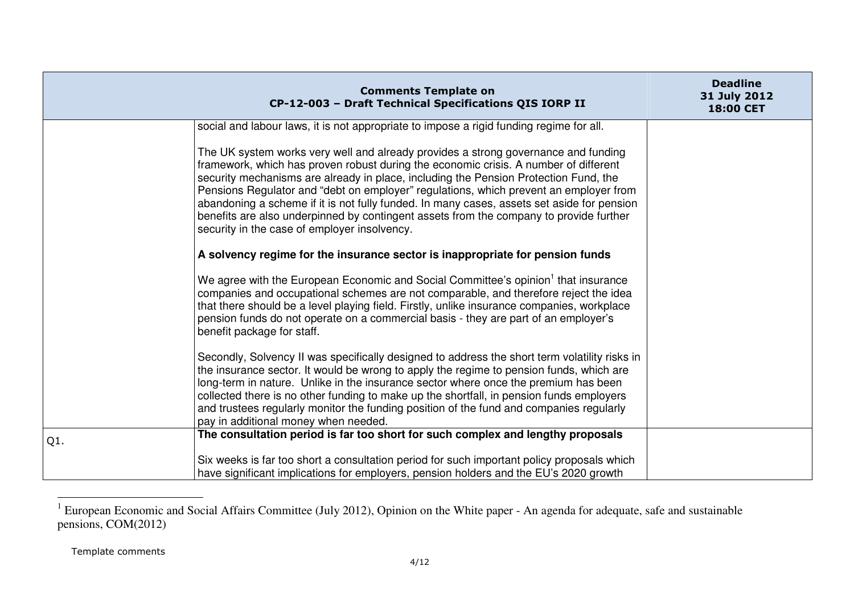|     | <b>Comments Template on</b><br>CP-12-003 - Draft Technical Specifications QIS IORP II                                                                                                                                                                                                                                                                                                                                                                                                                                                                                                               | <b>Deadline</b><br>31 July 2012<br>18:00 CET |
|-----|-----------------------------------------------------------------------------------------------------------------------------------------------------------------------------------------------------------------------------------------------------------------------------------------------------------------------------------------------------------------------------------------------------------------------------------------------------------------------------------------------------------------------------------------------------------------------------------------------------|----------------------------------------------|
|     | social and labour laws, it is not appropriate to impose a rigid funding regime for all.                                                                                                                                                                                                                                                                                                                                                                                                                                                                                                             |                                              |
|     | The UK system works very well and already provides a strong governance and funding<br>framework, which has proven robust during the economic crisis. A number of different<br>security mechanisms are already in place, including the Pension Protection Fund, the<br>Pensions Regulator and "debt on employer" regulations, which prevent an employer from<br>abandoning a scheme if it is not fully funded. In many cases, assets set aside for pension<br>benefits are also underpinned by contingent assets from the company to provide further<br>security in the case of employer insolvency. |                                              |
|     | A solvency regime for the insurance sector is inappropriate for pension funds                                                                                                                                                                                                                                                                                                                                                                                                                                                                                                                       |                                              |
|     | We agree with the European Economic and Social Committee's opinion <sup>1</sup> that insurance<br>companies and occupational schemes are not comparable, and therefore reject the idea<br>that there should be a level playing field. Firstly, unlike insurance companies, workplace<br>pension funds do not operate on a commercial basis - they are part of an employer's<br>benefit package for staff.                                                                                                                                                                                           |                                              |
|     | Secondly, Solvency II was specifically designed to address the short term volatility risks in<br>the insurance sector. It would be wrong to apply the regime to pension funds, which are<br>long-term in nature. Unlike in the insurance sector where once the premium has been<br>collected there is no other funding to make up the shortfall, in pension funds employers<br>and trustees regularly monitor the funding position of the fund and companies regularly<br>pay in additional money when needed.                                                                                      |                                              |
| Q1. | The consultation period is far too short for such complex and lengthy proposals                                                                                                                                                                                                                                                                                                                                                                                                                                                                                                                     |                                              |
|     | Six weeks is far too short a consultation period for such important policy proposals which<br>have significant implications for employers, pension holders and the EU's 2020 growth                                                                                                                                                                                                                                                                                                                                                                                                                 |                                              |

 $1$  European Economic and Social Affairs Committee (July 2012), Opinion on the White paper - An agenda for adequate, safe and sustainable pensions, COM(2012)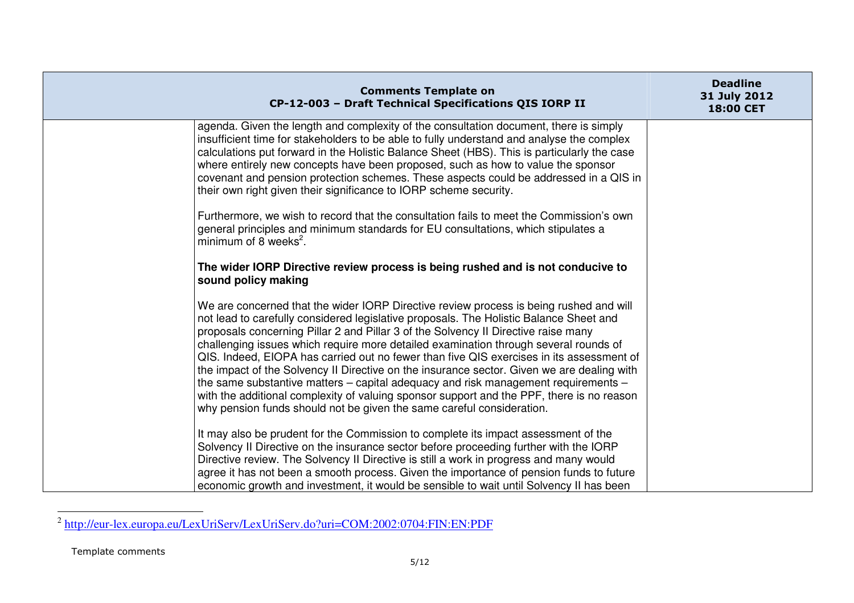| <b>Comments Template on</b><br>CP-12-003 - Draft Technical Specifications QIS IORP II                                                                                                                                                                                                                                                                                                                                                                                                                                                                                                                                                                                                                                                                                                                                    | <b>Deadline</b><br>31 July 2012<br>18:00 CET |
|--------------------------------------------------------------------------------------------------------------------------------------------------------------------------------------------------------------------------------------------------------------------------------------------------------------------------------------------------------------------------------------------------------------------------------------------------------------------------------------------------------------------------------------------------------------------------------------------------------------------------------------------------------------------------------------------------------------------------------------------------------------------------------------------------------------------------|----------------------------------------------|
| agenda. Given the length and complexity of the consultation document, there is simply<br>insufficient time for stakeholders to be able to fully understand and analyse the complex<br>calculations put forward in the Holistic Balance Sheet (HBS). This is particularly the case<br>where entirely new concepts have been proposed, such as how to value the sponsor<br>covenant and pension protection schemes. These aspects could be addressed in a QIS in<br>their own right given their significance to IORP scheme security.                                                                                                                                                                                                                                                                                      |                                              |
| Furthermore, we wish to record that the consultation fails to meet the Commission's own<br>general principles and minimum standards for EU consultations, which stipulates a<br>minimum of 8 weeks <sup>2</sup> .                                                                                                                                                                                                                                                                                                                                                                                                                                                                                                                                                                                                        |                                              |
| The wider IORP Directive review process is being rushed and is not conducive to<br>sound policy making                                                                                                                                                                                                                                                                                                                                                                                                                                                                                                                                                                                                                                                                                                                   |                                              |
| We are concerned that the wider IORP Directive review process is being rushed and will<br>not lead to carefully considered legislative proposals. The Holistic Balance Sheet and<br>proposals concerning Pillar 2 and Pillar 3 of the Solvency II Directive raise many<br>challenging issues which require more detailed examination through several rounds of<br>QIS. Indeed, EIOPA has carried out no fewer than five QIS exercises in its assessment of<br>the impact of the Solvency II Directive on the insurance sector. Given we are dealing with<br>the same substantive matters $-$ capital adequacy and risk management requirements $-$<br>with the additional complexity of valuing sponsor support and the PPF, there is no reason<br>why pension funds should not be given the same careful consideration. |                                              |
| It may also be prudent for the Commission to complete its impact assessment of the<br>Solvency II Directive on the insurance sector before proceeding further with the IORP<br>Directive review. The Solvency II Directive is still a work in progress and many would<br>agree it has not been a smooth process. Given the importance of pension funds to future<br>economic growth and investment, it would be sensible to wait until Solvency II has been                                                                                                                                                                                                                                                                                                                                                              |                                              |

<sup>&</sup>lt;sup>2</sup> http://eur-lex.europa.eu/LexUriServ/LexUriServ.do?uri=COM:2002:0704:FIN:EN:PDF

Template comments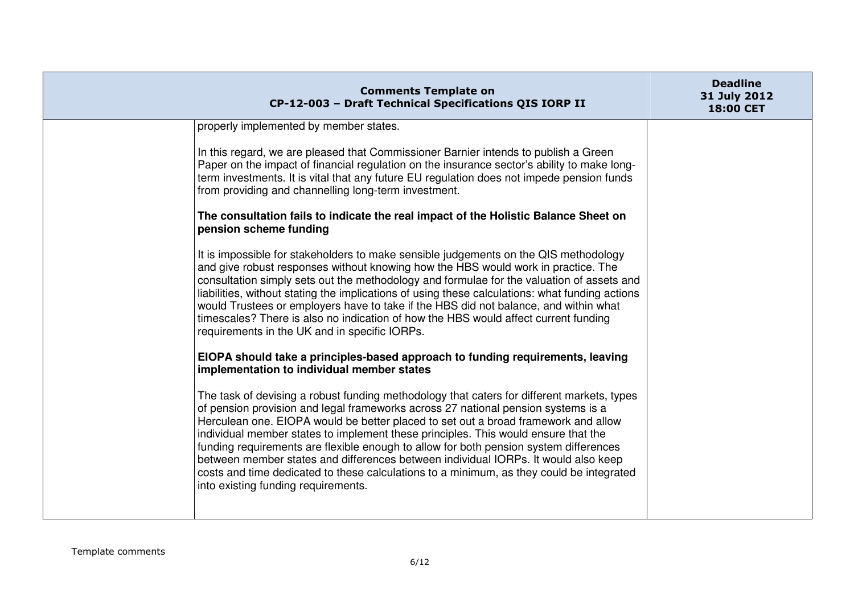|                        | <b>Comments Template on</b><br>CP-12-003 - Draft Technical Specifications QIS IORP II                                                                                                                                                                                                                                                                                                                                                                                                                                                                                                                                                                                                                                                                                                                                                                                                                                                                                                                                                                                                                                                                                                                                                                                                                                                                                                                                                                                                                                                                                                                                                                                                                                                                                                                                                                                                                  | <b>Deadline</b><br>31 July 2012<br><b>18:00 CET</b> |
|------------------------|--------------------------------------------------------------------------------------------------------------------------------------------------------------------------------------------------------------------------------------------------------------------------------------------------------------------------------------------------------------------------------------------------------------------------------------------------------------------------------------------------------------------------------------------------------------------------------------------------------------------------------------------------------------------------------------------------------------------------------------------------------------------------------------------------------------------------------------------------------------------------------------------------------------------------------------------------------------------------------------------------------------------------------------------------------------------------------------------------------------------------------------------------------------------------------------------------------------------------------------------------------------------------------------------------------------------------------------------------------------------------------------------------------------------------------------------------------------------------------------------------------------------------------------------------------------------------------------------------------------------------------------------------------------------------------------------------------------------------------------------------------------------------------------------------------------------------------------------------------------------------------------------------------|-----------------------------------------------------|
| pension scheme funding | properly implemented by member states.<br>In this regard, we are pleased that Commissioner Barnier intends to publish a Green<br>Paper on the impact of financial regulation on the insurance sector's ability to make long-<br>term investments. It is vital that any future EU regulation does not impede pension funds<br>from providing and channelling long-term investment.<br>The consultation fails to indicate the real impact of the Holistic Balance Sheet on<br>It is impossible for stakeholders to make sensible judgements on the QIS methodology<br>and give robust responses without knowing how the HBS would work in practice. The<br>consultation simply sets out the methodology and formulae for the valuation of assets and<br>liabilities, without stating the implications of using these calculations: what funding actions<br>would Trustees or employers have to take if the HBS did not balance, and within what<br>timescales? There is also no indication of how the HBS would affect current funding<br>requirements in the UK and in specific IORPs.<br>EIOPA should take a principles-based approach to funding requirements, leaving<br>implementation to individual member states<br>The task of devising a robust funding methodology that caters for different markets, types<br>of pension provision and legal frameworks across 27 national pension systems is a<br>Herculean one. EIOPA would be better placed to set out a broad framework and allow<br>individual member states to implement these principles. This would ensure that the<br>funding requirements are flexible enough to allow for both pension system differences<br>between member states and differences between individual IORPs. It would also keep<br>costs and time dedicated to these calculations to a minimum, as they could be integrated<br>into existing funding requirements. |                                                     |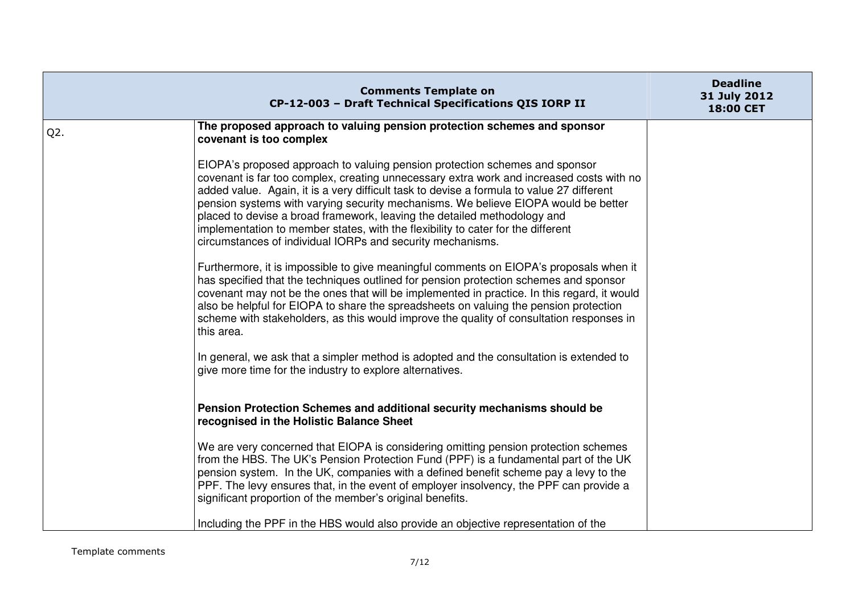|        | <b>Comments Template on</b><br>CP-12-003 - Draft Technical Specifications QIS IORP II                                                                                                                                                                                                                                                                                                                                                                                                                                                                                                    | <b>Deadline</b><br>31 July 2012<br>18:00 CET |
|--------|------------------------------------------------------------------------------------------------------------------------------------------------------------------------------------------------------------------------------------------------------------------------------------------------------------------------------------------------------------------------------------------------------------------------------------------------------------------------------------------------------------------------------------------------------------------------------------------|----------------------------------------------|
| $Q2$ . | The proposed approach to valuing pension protection schemes and sponsor<br>covenant is too complex                                                                                                                                                                                                                                                                                                                                                                                                                                                                                       |                                              |
|        | EIOPA's proposed approach to valuing pension protection schemes and sponsor<br>covenant is far too complex, creating unnecessary extra work and increased costs with no<br>added value. Again, it is a very difficult task to devise a formula to value 27 different<br>pension systems with varying security mechanisms. We believe EIOPA would be better<br>placed to devise a broad framework, leaving the detailed methodology and<br>implementation to member states, with the flexibility to cater for the different<br>circumstances of individual IORPs and security mechanisms. |                                              |
|        | Furthermore, it is impossible to give meaningful comments on EIOPA's proposals when it<br>has specified that the techniques outlined for pension protection schemes and sponsor<br>covenant may not be the ones that will be implemented in practice. In this regard, it would<br>also be helpful for EIOPA to share the spreadsheets on valuing the pension protection<br>scheme with stakeholders, as this would improve the quality of consultation responses in<br>this area.                                                                                                        |                                              |
|        | In general, we ask that a simpler method is adopted and the consultation is extended to<br>give more time for the industry to explore alternatives.                                                                                                                                                                                                                                                                                                                                                                                                                                      |                                              |
|        | Pension Protection Schemes and additional security mechanisms should be<br>recognised in the Holistic Balance Sheet                                                                                                                                                                                                                                                                                                                                                                                                                                                                      |                                              |
|        | We are very concerned that EIOPA is considering omitting pension protection schemes<br>from the HBS. The UK's Pension Protection Fund (PPF) is a fundamental part of the UK<br>pension system. In the UK, companies with a defined benefit scheme pay a levy to the<br>PPF. The levy ensures that, in the event of employer insolvency, the PPF can provide a<br>significant proportion of the member's original benefits.                                                                                                                                                               |                                              |
|        | Including the PPF in the HBS would also provide an objective representation of the                                                                                                                                                                                                                                                                                                                                                                                                                                                                                                       |                                              |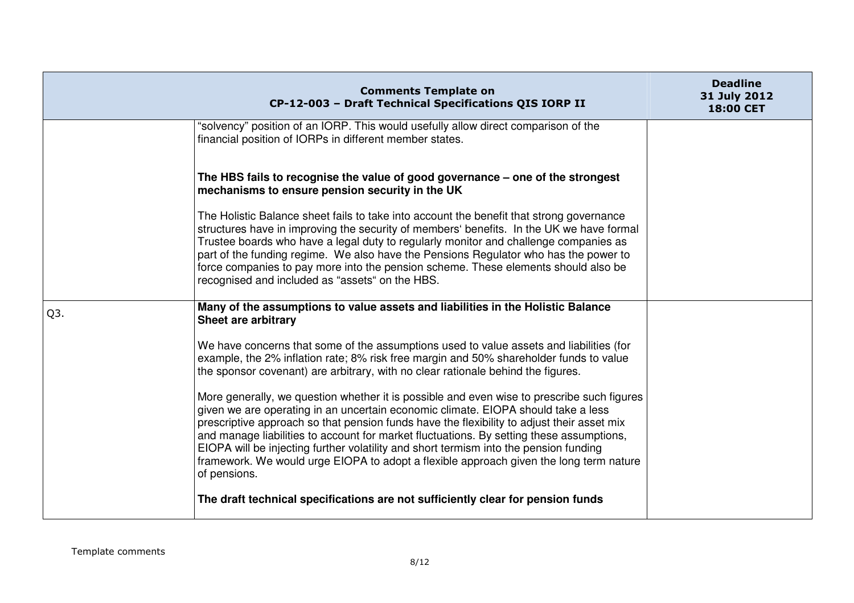|     | <b>Comments Template on</b><br>CP-12-003 - Draft Technical Specifications QIS IORP II                                                                                                                                                                                                                                                                                                                                                                                                                                                                                        | <b>Deadline</b><br>31 July 2012<br>18:00 CET |
|-----|------------------------------------------------------------------------------------------------------------------------------------------------------------------------------------------------------------------------------------------------------------------------------------------------------------------------------------------------------------------------------------------------------------------------------------------------------------------------------------------------------------------------------------------------------------------------------|----------------------------------------------|
|     | "solvency" position of an IORP. This would usefully allow direct comparison of the<br>financial position of IORPs in different member states.                                                                                                                                                                                                                                                                                                                                                                                                                                |                                              |
|     | The HBS fails to recognise the value of good governance - one of the strongest<br>mechanisms to ensure pension security in the UK                                                                                                                                                                                                                                                                                                                                                                                                                                            |                                              |
|     | The Holistic Balance sheet fails to take into account the benefit that strong governance<br>structures have in improving the security of members' benefits. In the UK we have formal<br>Trustee boards who have a legal duty to regularly monitor and challenge companies as<br>part of the funding regime. We also have the Pensions Regulator who has the power to<br>force companies to pay more into the pension scheme. These elements should also be<br>recognised and included as "assets" on the HBS.                                                                |                                              |
| Q3. | Many of the assumptions to value assets and liabilities in the Holistic Balance<br>Sheet are arbitrary                                                                                                                                                                                                                                                                                                                                                                                                                                                                       |                                              |
|     | We have concerns that some of the assumptions used to value assets and liabilities (for<br>example, the 2% inflation rate; 8% risk free margin and 50% shareholder funds to value<br>the sponsor covenant) are arbitrary, with no clear rationale behind the figures.                                                                                                                                                                                                                                                                                                        |                                              |
|     | More generally, we question whether it is possible and even wise to prescribe such figures<br>given we are operating in an uncertain economic climate. EIOPA should take a less<br>prescriptive approach so that pension funds have the flexibility to adjust their asset mix<br>and manage liabilities to account for market fluctuations. By setting these assumptions,<br>EIOPA will be injecting further volatility and short termism into the pension funding<br>framework. We would urge EIOPA to adopt a flexible approach given the long term nature<br>of pensions. |                                              |
|     | The draft technical specifications are not sufficiently clear for pension funds                                                                                                                                                                                                                                                                                                                                                                                                                                                                                              |                                              |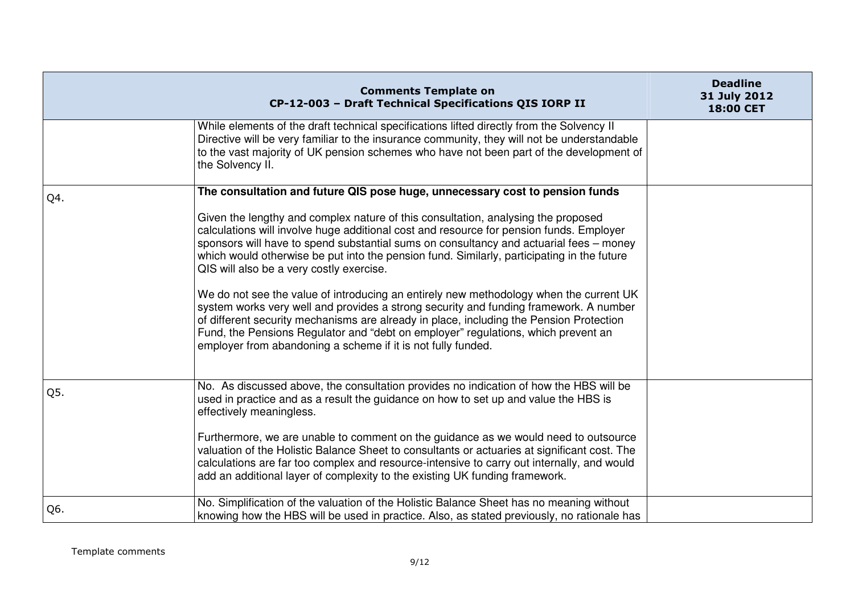|     | <b>Comments Template on</b><br>CP-12-003 - Draft Technical Specifications QIS IORP II                                                                                                                                                                                                                                                                                                                                                                                                                                                                                                                                                                                                                                                                                                                                                                                                                                               | <b>Deadline</b><br>31 July 2012<br>18:00 CET |
|-----|-------------------------------------------------------------------------------------------------------------------------------------------------------------------------------------------------------------------------------------------------------------------------------------------------------------------------------------------------------------------------------------------------------------------------------------------------------------------------------------------------------------------------------------------------------------------------------------------------------------------------------------------------------------------------------------------------------------------------------------------------------------------------------------------------------------------------------------------------------------------------------------------------------------------------------------|----------------------------------------------|
|     | While elements of the draft technical specifications lifted directly from the Solvency II<br>Directive will be very familiar to the insurance community, they will not be understandable<br>to the vast majority of UK pension schemes who have not been part of the development of<br>the Solvency II.                                                                                                                                                                                                                                                                                                                                                                                                                                                                                                                                                                                                                             |                                              |
| Q4. | The consultation and future QIS pose huge, unnecessary cost to pension funds<br>Given the lengthy and complex nature of this consultation, analysing the proposed<br>calculations will involve huge additional cost and resource for pension funds. Employer<br>sponsors will have to spend substantial sums on consultancy and actuarial fees – money<br>which would otherwise be put into the pension fund. Similarly, participating in the future<br>QIS will also be a very costly exercise.<br>We do not see the value of introducing an entirely new methodology when the current UK<br>system works very well and provides a strong security and funding framework. A number<br>of different security mechanisms are already in place, including the Pension Protection<br>Fund, the Pensions Regulator and "debt on employer" regulations, which prevent an<br>employer from abandoning a scheme if it is not fully funded. |                                              |
| Q5. | No. As discussed above, the consultation provides no indication of how the HBS will be<br>used in practice and as a result the guidance on how to set up and value the HBS is<br>effectively meaningless.<br>Furthermore, we are unable to comment on the guidance as we would need to outsource<br>valuation of the Holistic Balance Sheet to consultants or actuaries at significant cost. The<br>calculations are far too complex and resource-intensive to carry out internally, and would<br>add an additional layer of complexity to the existing UK funding framework.                                                                                                                                                                                                                                                                                                                                                       |                                              |
| Q6. | No. Simplification of the valuation of the Holistic Balance Sheet has no meaning without<br>knowing how the HBS will be used in practice. Also, as stated previously, no rationale has                                                                                                                                                                                                                                                                                                                                                                                                                                                                                                                                                                                                                                                                                                                                              |                                              |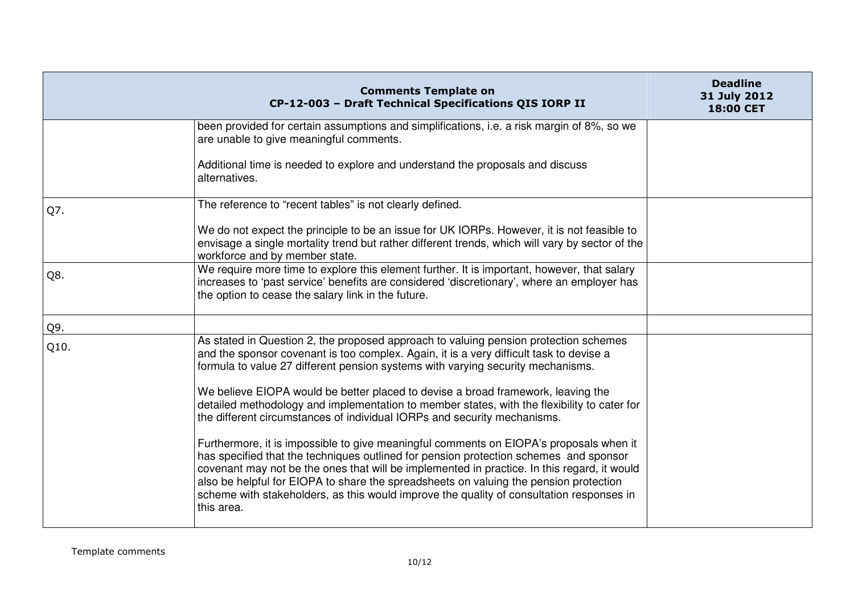|      | <b>Comments Template on</b><br>CP-12-003 - Draft Technical Specifications QIS IORP II                                                                                                                                                                                                                                                                                                                                                                                             | <b>Deadline</b><br>31 July 2012<br>18:00 CET |
|------|-----------------------------------------------------------------------------------------------------------------------------------------------------------------------------------------------------------------------------------------------------------------------------------------------------------------------------------------------------------------------------------------------------------------------------------------------------------------------------------|----------------------------------------------|
|      | been provided for certain assumptions and simplifications, i.e. a risk margin of 8%, so we<br>are unable to give meaningful comments.                                                                                                                                                                                                                                                                                                                                             |                                              |
|      | Additional time is needed to explore and understand the proposals and discuss<br>alternatives.                                                                                                                                                                                                                                                                                                                                                                                    |                                              |
| Q7.  | The reference to "recent tables" is not clearly defined.                                                                                                                                                                                                                                                                                                                                                                                                                          |                                              |
|      | We do not expect the principle to be an issue for UK IORPs. However, it is not feasible to<br>envisage a single mortality trend but rather different trends, which will vary by sector of the<br>workforce and by member state.                                                                                                                                                                                                                                                   |                                              |
| Q8.  | We require more time to explore this element further. It is important, however, that salary<br>increases to 'past service' benefits are considered 'discretionary', where an employer has<br>the option to cease the salary link in the future.                                                                                                                                                                                                                                   |                                              |
| Q9.  |                                                                                                                                                                                                                                                                                                                                                                                                                                                                                   |                                              |
| Q10. | As stated in Question 2, the proposed approach to valuing pension protection schemes<br>and the sponsor covenant is too complex. Again, it is a very difficult task to devise a<br>formula to value 27 different pension systems with varying security mechanisms.                                                                                                                                                                                                                |                                              |
|      | We believe EIOPA would be better placed to devise a broad framework, leaving the<br>detailed methodology and implementation to member states, with the flexibility to cater for<br>the different circumstances of individual IORPs and security mechanisms.                                                                                                                                                                                                                       |                                              |
|      | Furthermore, it is impossible to give meaningful comments on EIOPA's proposals when it<br>has specified that the techniques outlined for pension protection schemes and sponsor<br>covenant may not be the ones that will be implemented in practice. In this regard, it would<br>also be helpful for EIOPA to share the spreadsheets on valuing the pension protection<br>scheme with stakeholders, as this would improve the quality of consultation responses in<br>this area. |                                              |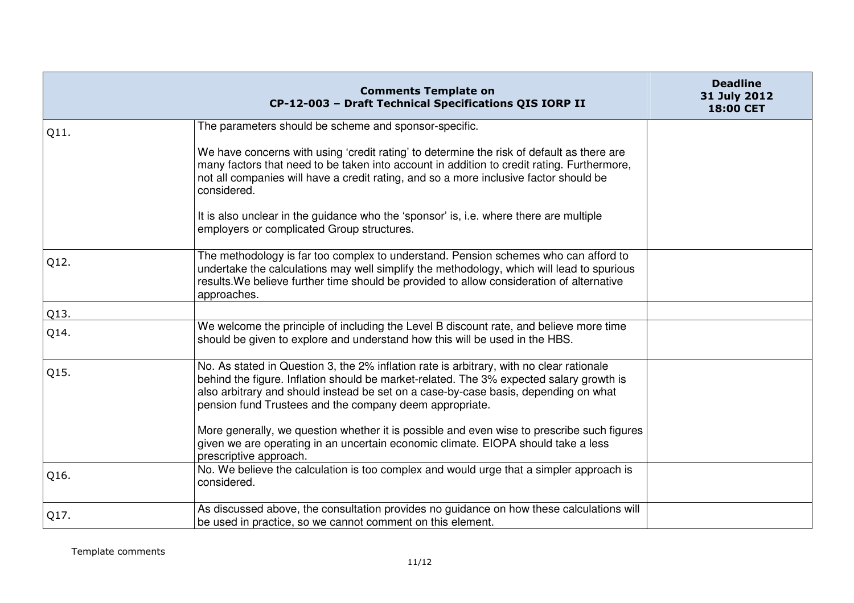|      | <b>Comments Template on</b><br>CP-12-003 - Draft Technical Specifications QIS IORP II                                                                                                                                                                                                                                                 | <b>Deadline</b><br>31 July 2012<br>18:00 CET |
|------|---------------------------------------------------------------------------------------------------------------------------------------------------------------------------------------------------------------------------------------------------------------------------------------------------------------------------------------|----------------------------------------------|
| Q11. | The parameters should be scheme and sponsor-specific.                                                                                                                                                                                                                                                                                 |                                              |
|      | We have concerns with using 'credit rating' to determine the risk of default as there are<br>many factors that need to be taken into account in addition to credit rating. Furthermore,<br>not all companies will have a credit rating, and so a more inclusive factor should be<br>considered.                                       |                                              |
|      | It is also unclear in the guidance who the 'sponsor' is, i.e. where there are multiple<br>employers or complicated Group structures.                                                                                                                                                                                                  |                                              |
| Q12. | The methodology is far too complex to understand. Pension schemes who can afford to<br>undertake the calculations may well simplify the methodology, which will lead to spurious<br>results. We believe further time should be provided to allow consideration of alternative<br>approaches.                                          |                                              |
| Q13. |                                                                                                                                                                                                                                                                                                                                       |                                              |
| Q14. | We welcome the principle of including the Level B discount rate, and believe more time<br>should be given to explore and understand how this will be used in the HBS.                                                                                                                                                                 |                                              |
| Q15. | No. As stated in Question 3, the 2% inflation rate is arbitrary, with no clear rationale<br>behind the figure. Inflation should be market-related. The 3% expected salary growth is<br>also arbitrary and should instead be set on a case-by-case basis, depending on what<br>pension fund Trustees and the company deem appropriate. |                                              |
|      | More generally, we question whether it is possible and even wise to prescribe such figures<br>given we are operating in an uncertain economic climate. EIOPA should take a less<br>prescriptive approach.                                                                                                                             |                                              |
| Q16. | No. We believe the calculation is too complex and would urge that a simpler approach is<br>considered.                                                                                                                                                                                                                                |                                              |
| Q17. | As discussed above, the consultation provides no guidance on how these calculations will<br>be used in practice, so we cannot comment on this element.                                                                                                                                                                                |                                              |